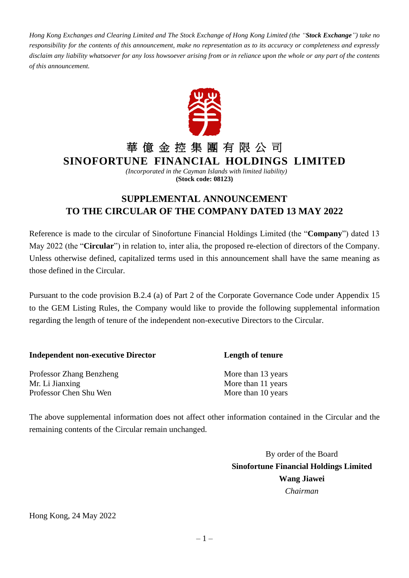*Hong Kong Exchanges and Clearing Limited and The Stock Exchange of Hong Kong Limited (the "Stock Exchange") take no responsibility for the contents of this announcement, make no representation as to its accuracy or completeness and expressly disclaim any liability whatsoever for any loss howsoever arising from or in reliance upon the whole or any part of the contents of this announcement.*



## 華 億 金 控 集 團 有 限 公 司

**SINOFORTUNE FINANCIAL HOLDINGS LIMITED**

*(Incorporated in the Cayman Islands with limited liability)* **(Stock code: 08123)**

## **SUPPLEMENTAL ANNOUNCEMENT TO THE CIRCULAR OF THE COMPANY DATED 13 MAY 2022**

Reference is made to the circular of Sinofortune Financial Holdings Limited (the "**Company**") dated 13 May 2022 (the "**Circular**") in relation to, inter alia, the proposed re-election of directors of the Company. Unless otherwise defined, capitalized terms used in this announcement shall have the same meaning as those defined in the Circular.

Pursuant to the code provision B.2.4 (a) of Part 2 of the Corporate Governance Code under Appendix 15 to the GEM Listing Rules, the Company would like to provide the following supplemental information regarding the length of tenure of the independent non-executive Directors to the Circular.

| <b>Independent non-executive Director</b> | <b>Length of tenure</b> |
|-------------------------------------------|-------------------------|
| <b>Professor Zhang Benzheng</b>           | More than 13 years      |
| Mr. Li Jianxing                           | More than 11 years      |
| Professor Chen Shu Wen                    | More than 10 years      |

The above supplemental information does not affect other information contained in the Circular and the remaining contents of the Circular remain unchanged.

> By order of the Board **Sinofortune Financial Holdings Limited Wang Jiawei** *Chairman*

Hong Kong, 24 May 2022